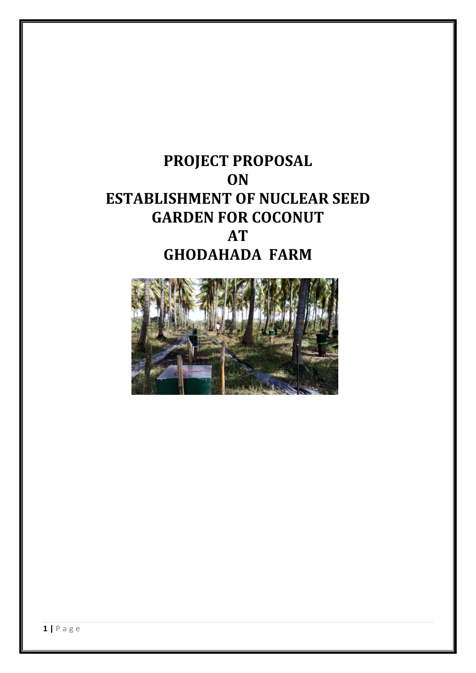# **PROJECT PROPOSAL ON ESTABLISHMENT OF NUCLEAR SEED GARDEN FOR COCONUT AT GHODAHADA FARM**

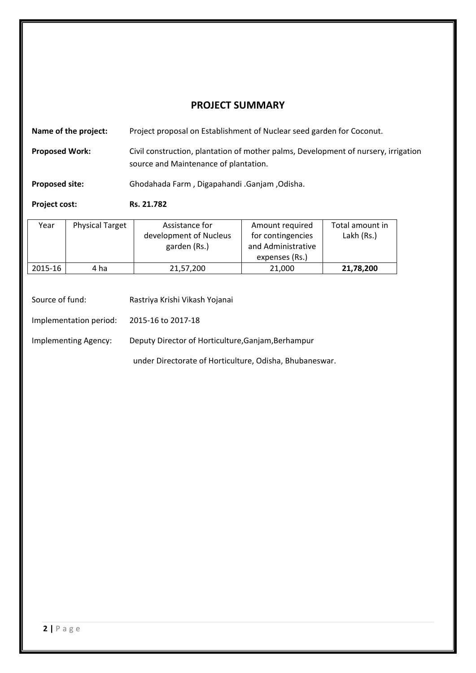# **PROJECT SUMMARY**

| Name of the project:  | Project proposal on Establishment of Nuclear seed garden for Coconut.                                                       |
|-----------------------|-----------------------------------------------------------------------------------------------------------------------------|
| <b>Proposed Work:</b> | Civil construction, plantation of mother palms, Development of nursery, irrigation<br>source and Maintenance of plantation. |

**Proposed site:** Ghodahada Farm , Digapahandi .Ganjam ,Odisha.

**Project cost: Rs. 21.782**

| Year    | <b>Physical Target</b> | Assistance for         | Amount required    | Total amount in |
|---------|------------------------|------------------------|--------------------|-----------------|
|         |                        | development of Nucleus | for contingencies  | Lakh (Rs.)      |
|         |                        | garden (Rs.)           | and Administrative |                 |
|         |                        |                        | expenses (Rs.)     |                 |
| 2015-16 | 4 ha                   | 21,57,200              | 21,000             | 21,78,200       |

| Source of fund:        | Rastriya Krishi Vikash Yojanai                          |
|------------------------|---------------------------------------------------------|
| Implementation period: | 2015-16 to 2017-18                                      |
| Implementing Agency:   | Deputy Director of Horticulture, Ganjam, Berhampur      |
|                        | under Directorate of Horticulture, Odisha, Bhubaneswar. |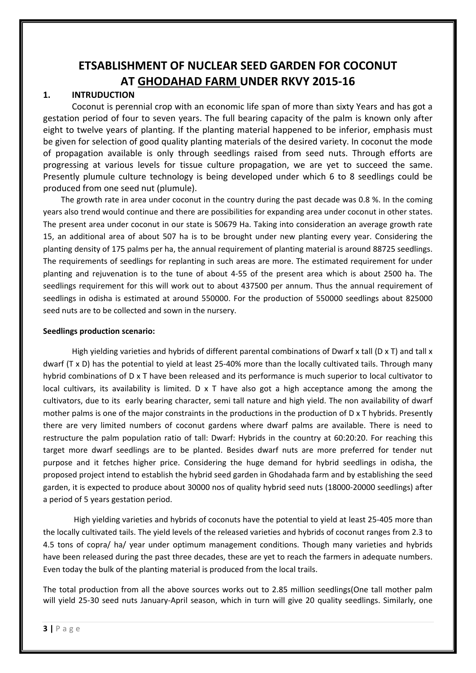# **ETSABLISHMENT OF NUCLEAR SEED GARDEN FOR COCONUT AT GHODAHAD FARM UNDER RKVY 2015‐16**

# **1. INTRUDUCTION**

Coconut is perennial crop with an economic life span of more than sixty Years and has got a gestation period of four to seven years. The full bearing capacity of the palm is known only after eight to twelve years of planting. If the planting material happened to be inferior, emphasis must be given for selection of good quality planting materials of the desired variety. In coconut the mode of propagation available is only through seedlings raised from seed nuts. Through efforts are progressing at various levels for tissue culture propagation, we are yet to succeed the same. Presently plumule culture technology is being developed under which 6 to 8 seedlings could be produced from one seed nut (plumule).

 The growth rate in area under coconut in the country during the past decade was 0.8 %. In the coming years also trend would continue and there are possibilities for expanding area under coconut in other states. The present area under coconut in our state is 50679 Ha. Taking into consideration an average growth rate 15, an additional area of about 507 ha is to be brought under new planting every year. Considering the planting density of 175 palms per ha, the annual requirement of planting material is around 88725 seedlings. The requirements of seedlings for replanting in such areas are more. The estimated requirement for under planting and rejuvenation is to the tune of about 4‐55 of the present area which is about 2500 ha. The seedlings requirement for this will work out to about 437500 per annum. Thus the annual requirement of seedlings in odisha is estimated at around 550000. For the production of 550000 seedlings about 825000 seed nuts are to be collected and sown in the nursery.

#### **Seedlings production scenario:**

High yielding varieties and hybrids of different parental combinations of Dwarf x tall (D x T) and tall x dwarf (T x D) has the potential to yield at least 25‐40% more than the locally cultivated tails. Through many hybrid combinations of D x T have been released and its performance is much superior to local cultivator to local cultivars, its availability is limited. D x T have also got a high acceptance among the among the cultivators, due to its early bearing character, semi tall nature and high yield. The non availability of dwarf mother palms is one of the major constraints in the productions in the production of D x T hybrids. Presently there are very limited numbers of coconut gardens where dwarf palms are available. There is need to restructure the palm population ratio of tall: Dwarf: Hybrids in the country at 60:20:20. For reaching this target more dwarf seedlings are to be planted. Besides dwarf nuts are more preferred for tender nut purpose and it fetches higher price. Considering the huge demand for hybrid seedlings in odisha, the proposed project intend to establish the hybrid seed garden in Ghodahada farm and by establishing the seed garden, it is expected to produce about 30000 nos of quality hybrid seed nuts (18000‐20000 seedlings) after a period of 5 years gestation period.

 High yielding varieties and hybrids of coconuts have the potential to yield at least 25‐405 more than the locally cultivated tails. The yield levels of the released varieties and hybrids of coconut ranges from 2.3 to 4.5 tons of copra/ ha/ year under optimum management conditions. Though many varieties and hybrids have been released during the past three decades, these are yet to reach the farmers in adequate numbers. Even today the bulk of the planting material is produced from the local trails.

The total production from all the above sources works out to 2.85 million seedlings(One tall mother palm will yield 25‐30 seed nuts January‐April season, which in turn will give 20 quality seedlings. Similarly, one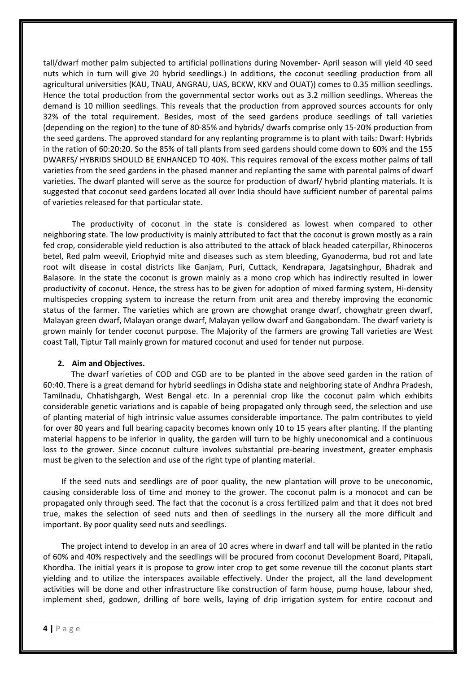tall/dwarf mother palm subjected to artificial pollinations during November‐ April season will yield 40 seed nuts which in turn will give 20 hybrid seedlings.) In additions, the coconut seedling production from all agricultural universities (KAU, TNAU, ANGRAU, UAS, BCKW, KKV and OUAT)) comes to 0.35 million seedlings. Hence the total production from the governmental sector works out as 3.2 million seedlings. Whereas the demand is 10 million seedlings. This reveals that the production from approved sources accounts for only 32% of the total requirement. Besides, most of the seed gardens produce seedlings of tall varieties (depending on the region) to the tune of 80‐85% and hybrids/ dwarfs comprise only 15‐20% production from the seed gardens. The approved standard for any replanting programme is to plant with tails: Dwarf: Hybrids in the ration of 60:20:20. So the 85% of tall plants from seed gardens should come down to 60% and the 155 DWARFS/ HYBRIDS SHOULD BE ENHANCED TO 40%. This requires removal of the excess mother palms of tall varieties from the seed gardens in the phased manner and replanting the same with parental palms of dwarf varieties. The dwarf planted will serve as the source for production of dwarf/ hybrid planting materials. It is suggested that coconut seed gardens located all over India should have sufficient number of parental palms of varieties released for that particular state.

The productivity of coconut in the state is considered as lowest when compared to other neighboring state. The low productivity is mainly attributed to fact that the coconut is grown mostly as a rain fed crop, considerable yield reduction is also attributed to the attack of black headed caterpillar, Rhinoceros betel, Red palm weevil, Eriophyid mite and diseases such as stem bleeding, Gyanoderma, bud rot and late root wilt disease in costal districts like Ganjam, Puri, Cuttack, Kendrapara, Jagatsinghpur, Bhadrak and Balasore. In the state the coconut is grown mainly as a mono crop which has indirectly resulted in lower productivity of coconut. Hence, the stress has to be given for adoption of mixed farming system, Hi‐density multispecies cropping system to increase the return from unit area and thereby improving the economic status of the farmer. The varieties which are grown are chowghat orange dwarf, chowghatr green dwarf, Malayan green dwarf, Malayan orange dwarf, Malayan yellow dwarf and Gangabondam. The dwarf variety is grown mainly for tender coconut purpose. The Majority of the farmers are growing Tall varieties are West coast Tall, Tiptur Tall mainly grown for matured coconut and used for tender nut purpose.

#### **2. Aim and Objectives.**

 The dwarf varieties of COD and CGD are to be planted in the above seed garden in the ration of 60:40. There is a great demand for hybrid seedlings in Odisha state and neighboring state of Andhra Pradesh, Tamilnadu, Chhatishgargh, West Bengal etc. In a perennial crop like the coconut palm which exhibits considerable genetic variations and is capable of being propagated only through seed, the selection and use of planting material of high intrinsic value assumes considerable importance. The palm contributes to yield for over 80 years and full bearing capacity becomes known only 10 to 15 years after planting. If the planting material happens to be inferior in quality, the garden will turn to be highly uneconomical and a continuous loss to the grower. Since coconut culture involves substantial pre-bearing investment, greater emphasis must be given to the selection and use of the right type of planting material.

 If the seed nuts and seedlings are of poor quality, the new plantation will prove to be uneconomic, causing considerable loss of time and money to the grower. The coconut palm is a monocot and can be propagated only through seed. The fact that the coconut is a cross fertilized palm and that it does not bred true, makes the selection of seed nuts and then of seedlings in the nursery all the more difficult and important. By poor quality seed nuts and seedlings.

 The project intend to develop in an area of 10 acres where in dwarf and tall will be planted in the ratio of 60% and 40% respectively and the seedlings will be procured from coconut Development Board, Pitapali, Khordha. The initial years it is propose to grow inter crop to get some revenue till the coconut plants start yielding and to utilize the interspaces available effectively. Under the project, all the land development activities will be done and other infrastructure like construction of farm house, pump house, labour shed, implement shed, godown, drilling of bore wells, laying of drip irrigation system for entire coconut and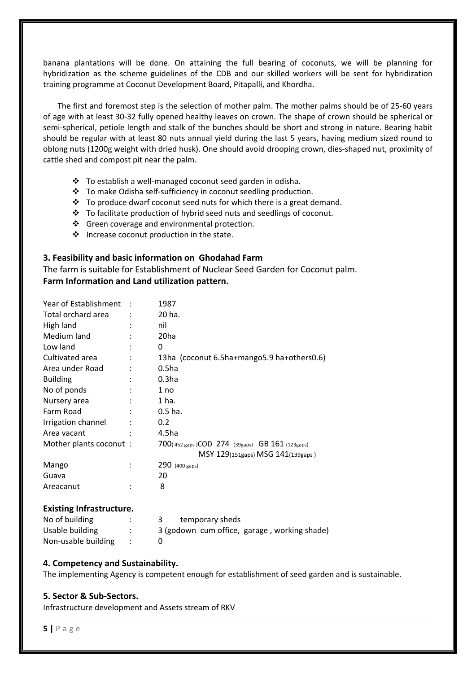banana plantations will be done. On attaining the full bearing of coconuts, we will be planning for hybridization as the scheme guidelines of the CDB and our skilled workers will be sent for hybridization training programme at Coconut Development Board, Pitapalli, and Khordha.

The first and foremost step is the selection of mother palm. The mother palms should be of 25‐60 years of age with at least 30‐32 fully opened healthy leaves on crown. The shape of crown should be spherical or semi-spherical, petiole length and stalk of the bunches should be short and strong in nature. Bearing habit should be regular with at least 80 nuts annual yield during the last 5 years, having medium sized round to oblong nuts (1200g weight with dried husk). One should avoid drooping crown, dies‐shaped nut, proximity of cattle shed and compost pit near the palm.

- To establish a well‐managed coconut seed garden in odisha.
- To make Odisha self‐sufficiency in coconut seedling production.
- $\cdot \cdot$  To produce dwarf coconut seed nuts for which there is a great demand.
- \* To facilitate production of hybrid seed nuts and seedlings of coconut.
- ❖ Green coverage and environmental protection.
- $\cdot \cdot$  Increase coconut production in the state.

#### **3. Feasibility and basic information on Ghodahad Farm**

The farm is suitable for Establishment of Nuclear Seed Garden for Coconut palm. **Farm Information and Land utilization pattern.**

| Total orchard area<br>20 ha.<br>High land<br>nil<br>Medium land<br>20 <sub>ha</sub><br>Low land<br>0<br>Cultivated area<br>13ha (coconut 6.5ha+mango5.9 ha+others0.6)<br>Area under Road<br>0.5 <sub>ha</sub><br>0.3 <sub>ha</sub><br><b>Building</b><br>No of ponds<br>1 no<br>1 ha.<br>Nursery area<br>Farm Road<br>$0.5$ ha.<br>Irrigation channel<br>0.2 <sub>0</sub><br>4.5ha<br>Area vacant<br>Mother plants coconut:<br>700(452 gaps)COD 274 (39gaps) GB 161 (123gaps) | Year of Establishment | 1987                              |
|-------------------------------------------------------------------------------------------------------------------------------------------------------------------------------------------------------------------------------------------------------------------------------------------------------------------------------------------------------------------------------------------------------------------------------------------------------------------------------|-----------------------|-----------------------------------|
|                                                                                                                                                                                                                                                                                                                                                                                                                                                                               |                       |                                   |
|                                                                                                                                                                                                                                                                                                                                                                                                                                                                               |                       |                                   |
|                                                                                                                                                                                                                                                                                                                                                                                                                                                                               |                       |                                   |
|                                                                                                                                                                                                                                                                                                                                                                                                                                                                               |                       |                                   |
|                                                                                                                                                                                                                                                                                                                                                                                                                                                                               |                       |                                   |
|                                                                                                                                                                                                                                                                                                                                                                                                                                                                               |                       |                                   |
|                                                                                                                                                                                                                                                                                                                                                                                                                                                                               |                       |                                   |
|                                                                                                                                                                                                                                                                                                                                                                                                                                                                               |                       |                                   |
|                                                                                                                                                                                                                                                                                                                                                                                                                                                                               |                       |                                   |
|                                                                                                                                                                                                                                                                                                                                                                                                                                                                               |                       |                                   |
|                                                                                                                                                                                                                                                                                                                                                                                                                                                                               |                       |                                   |
|                                                                                                                                                                                                                                                                                                                                                                                                                                                                               |                       |                                   |
|                                                                                                                                                                                                                                                                                                                                                                                                                                                                               |                       |                                   |
|                                                                                                                                                                                                                                                                                                                                                                                                                                                                               |                       | MSY 129(151gaps) MSG 141(139gaps) |
| Mango<br>290 (400 gaps)                                                                                                                                                                                                                                                                                                                                                                                                                                                       |                       |                                   |
| 20<br>Guava                                                                                                                                                                                                                                                                                                                                                                                                                                                                   |                       |                                   |
| 8<br>Areacanut                                                                                                                                                                                                                                                                                                                                                                                                                                                                |                       |                                   |

#### **Existing Infrastructure.**

| No of building      | temporary sheds                              |
|---------------------|----------------------------------------------|
| Usable building     | 3 (godown cum office, garage, working shade) |
| Non-usable building |                                              |

#### **4. Competency and Sustainability.**

The implementing Agency is competent enough for establishment of seed garden and is sustainable.

#### **5. Sector & Sub‐Sectors.**

Infrastructure development and Assets stream of RKV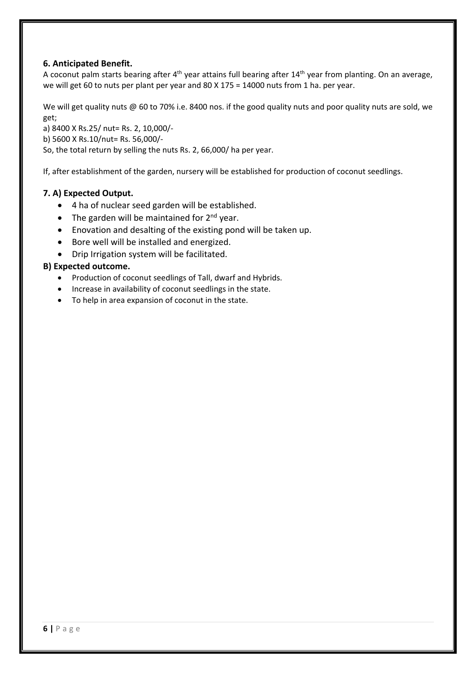# **6. Anticipated Benefit.**

A coconut palm starts bearing after  $4<sup>th</sup>$  year attains full bearing after  $14<sup>th</sup>$  year from planting. On an average, we will get 60 to nuts per plant per year and 80 X 175 = 14000 nuts from 1 ha. per year.

We will get quality nuts @ 60 to 70% i.e. 8400 nos. if the good quality nuts and poor quality nuts are sold, we get;

a) 8400 X Rs.25/ nut= Rs. 2, 10,000/‐

b) 5600 X Rs.10/nut= Rs. 56,000/‐

So, the total return by selling the nuts Rs. 2, 66,000/ ha per year.

If, after establishment of the garden, nursery will be established for production of coconut seedlings.

# **7. A) Expected Output.**

- 4 ha of nuclear seed garden will be established.
- The garden will be maintained for  $2^{nd}$  year.
- Enovation and desalting of the existing pond will be taken up.
- Bore well will be installed and energized.
- Drip Irrigation system will be facilitated.

# **B) Expected outcome.**

- Production of coconut seedlings of Tall, dwarf and Hybrids.
- Increase in availability of coconut seedlings in the state.
- To help in area expansion of coconut in the state.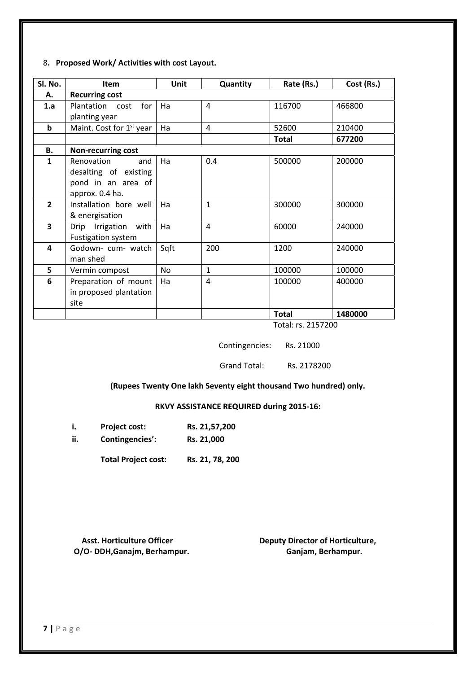#### 8**. Proposed Work/ Activities with cost Layout.**

| Sl. No.        | Item                                                                                | Unit | Quantity       | Rate (Rs.)   | Cost (Rs.) |
|----------------|-------------------------------------------------------------------------------------|------|----------------|--------------|------------|
| А.             | <b>Recurring cost</b>                                                               |      |                |              |            |
| 1.a            | for<br>Plantation cost                                                              | Ha   | $\overline{4}$ | 116700       | 466800     |
|                | planting year                                                                       |      |                |              |            |
| $\mathbf b$    | Maint. Cost for 1 <sup>st</sup> year                                                | Ha   | 4              | 52600        | 210400     |
|                |                                                                                     |      |                | <b>Total</b> | 677200     |
| В.             | <b>Non-recurring cost</b>                                                           |      |                |              |            |
| 1              | Renovation<br>and<br>desalting of existing<br>pond in an area of<br>approx. 0.4 ha. | Ha   | 0.4            | 500000       | 200000     |
| $\overline{2}$ | Installation bore well<br>& energisation                                            | Ha   | $\mathbf{1}$   | 300000       | 300000     |
| 3              | Irrigation with<br>Drip<br>Fustigation system                                       | Ha   | $\overline{4}$ | 60000        | 240000     |
| 4              | Godown- cum- watch<br>man shed                                                      | Sqft | 200            | 1200         | 240000     |
| 5              | Vermin compost                                                                      | No   | $\mathbf{1}$   | 100000       | 100000     |
| 6              | Preparation of mount<br>in proposed plantation<br>site                              | Ha   | 4              | 100000       | 400000     |
|                |                                                                                     |      |                | <b>Total</b> | 1480000    |

Total: rs. 2157200

Contingencies: Rs. 21000

Grand Total: Rs. 2178200

### **(Rupees Twenty One lakh Seventy eight thousand Two hundred) only.**

### **RKVY ASSISTANCE REQUIRED during 2015‐16:**

|    | <b>Project cost:</b>      | Rs. 21,57,200               |
|----|---------------------------|-----------------------------|
| :: | $C$ antinganciac' $\cdot$ | <b>D<sub>c</sub></b> 21,000 |

**ii. Contingencies': Rs. 21,000**

**Total Project cost: Rs. 21, 78, 200**

**O/O‐ DDH,Ganajm, Berhampur. Ganjam, Berhampur.**

 **Asst. Horticulture Officer Deputy Director of Horticulture,**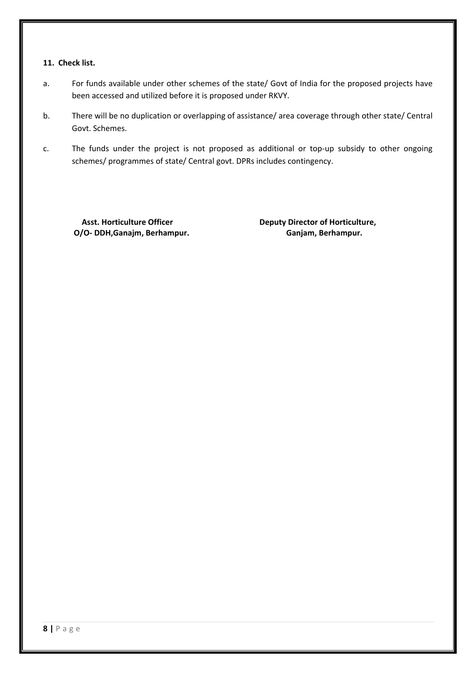#### **11. Check list.**

- a. For funds available under other schemes of the state/ Govt of India for the proposed projects have been accessed and utilized before it is proposed under RKVY.
- b. There will be no duplication or overlapping of assistance/ area coverage through other state/ Central Govt. Schemes.
- c. The funds under the project is not proposed as additional or top-up subsidy to other ongoing schemes/ programmes of state/ Central govt. DPRs includes contingency.

**O/O‐ DDH,Ganajm, Berhampur. Ganjam, Berhampur.**

 **Asst. Horticulture Officer Deputy Director of Horticulture,**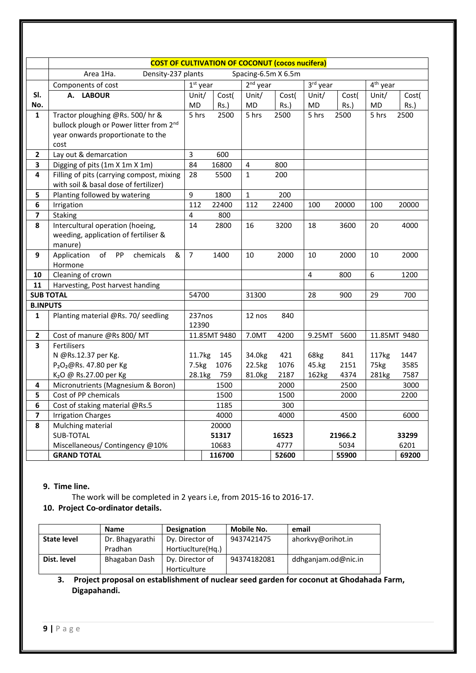|                         | <b>COST OF CULTIVATION OF COCONUT (cocos nucifera)</b> |                |              |              |       |           |         |                      |              |
|-------------------------|--------------------------------------------------------|----------------|--------------|--------------|-------|-----------|---------|----------------------|--------------|
|                         | Spacing-6.5m X 6.5m<br>Area 1Ha.<br>Density-237 plants |                |              |              |       |           |         |                      |              |
|                         | Components of cost<br>$1st$ year                       |                |              | $2nd$ year   |       | 3rd year  |         | 4 <sup>th</sup> year |              |
| SI.                     | <b>LABOUR</b><br>А.                                    | Unit/          | Cost(        | Unit/        | Cost( | Unit/     | Cost(   | Unit/                | Cost(        |
| No.                     |                                                        | MD             | $Rs.$ )      | MD           | Rs.)  | <b>MD</b> | $Rs.$ ) | MD                   | $Rs.$ )      |
| $\mathbf{1}$            | Tractor ploughing @Rs. 500/hr &                        | 5 hrs          | 2500         | 5 hrs        | 2500  | 5 hrs     | 2500    | 5 hrs                | 2500         |
|                         | bullock plough or Power litter from 2 <sup>nd</sup>    |                |              |              |       |           |         |                      |              |
|                         | year onwards proportionate to the                      |                |              |              |       |           |         |                      |              |
|                         | cost                                                   |                |              |              |       |           |         |                      |              |
| $\overline{2}$          | Lay out & demarcation                                  | 3              | 600          |              |       |           |         |                      |              |
| 3                       | Digging of pits (1m X 1m X 1m)                         | 84             | 16800        | 4            | 800   |           |         |                      |              |
| 4                       | Filling of pits (carrying compost, mixing              | 28             | 5500         | $\mathbf{1}$ | 200   |           |         |                      |              |
|                         | with soil & basal dose of fertilizer)                  |                |              |              |       |           |         |                      |              |
| 5                       | Planting followed by watering                          | 9              | 1800         | $\mathbf{1}$ | 200   |           |         |                      |              |
| 6                       | Irrigation                                             | 112            | 22400        | 112          | 22400 | 100       | 20000   | 100                  | 20000        |
| $\overline{\mathbf{z}}$ | Staking                                                | 4              | 800          |              |       |           |         |                      |              |
| 8                       | Intercultural operation (hoeing,                       | 14             | 2800         | 16           | 3200  | 18        | 3600    | 20                   | 4000         |
|                         | weeding, application of fertiliser &                   |                |              |              |       |           |         |                      |              |
|                         | manure)                                                |                |              |              |       |           |         |                      |              |
| 9                       | Application<br>of<br>PP<br>&<br>chemicals              | $\overline{7}$ | 1400         | 10           | 2000  | 10        | 2000    | 10                   | 2000         |
|                         | Hormone<br>Cleaning of crown                           |                |              |              |       | 4         | 800     | 6                    |              |
| 10<br>11                | Harvesting, Post harvest handing                       |                |              |              |       |           |         |                      | 1200         |
|                         | <b>SUB TOTAL</b>                                       | 54700          |              | 31300        |       | 28        | 900     |                      |              |
| <b>B.INPUTS</b>         |                                                        |                |              |              |       |           |         | 29<br>700            |              |
| $\mathbf{1}$            | Planting material @Rs. 70/ seedling                    | 237nos         |              | 12 nos       | 840   |           |         |                      |              |
|                         |                                                        | 12390          |              |              |       |           |         |                      |              |
| $\overline{2}$          | Cost of manure @Rs 800/MT                              |                | 11.85MT 9480 | 7.0MT        | 4200  | 9.25MT    | 5600    |                      | 11.85MT 9480 |
| $\overline{\mathbf{3}}$ | Fertilisers                                            |                |              |              |       |           |         |                      |              |
|                         | N @Rs.12.37 per Kg.                                    | 11.7kg         | 145          | 34.0kg       | 421   | 68kg      | 841     | 117 <sub>kg</sub>    | 1447         |
|                         | P <sub>2</sub> O <sub>2</sub> @Rs. 47.80 per Kg        | 7.5kg          | 1076         | 22.5kg       | 1076  | 45.kg     | 2151    | 75kg                 | 3585         |
|                         | K <sub>2</sub> O @ Rs.27.00 per Kg                     | 28.1kg         | 759          | 81.0kg       | 2187  | 162kg     | 4374    | 281kg                | 7587         |
| 4                       | Micronutrients (Magnesium & Boron)                     |                | 1500         |              | 2000  |           | 2500    |                      | 3000         |
| 5                       | Cost of PP chemicals                                   |                | 1500         |              | 1500  |           | 2000    |                      | 2200         |
| $6\phantom{1}$          | Cost of staking material @Rs.5                         |                | 1185         |              | 300   |           |         |                      |              |
| $\overline{\mathbf{z}}$ | <b>Irrigation Charges</b>                              |                | 4000         |              | 4000  |           | 4500    |                      | 6000         |
| 8                       | Mulching material                                      |                | 20000        |              |       |           |         |                      |              |
|                         | <b>SUB-TOTAL</b>                                       |                | 51317        |              | 16523 |           | 21966.2 |                      | 33299        |
|                         | Miscellaneous/ Contingency @10%                        |                | 10683        |              | 4777  |           | 5034    |                      | 6201         |
|                         | <b>GRAND TOTAL</b>                                     |                | 116700       |              | 52600 |           | 55900   |                      | 69200        |

# **9. Time line.**

The work will be completed in 2 years i.e, from 2015‐16 to 2016‐17.

# **10. Project Co‐ordinator details.**

|                    | <b>Name</b>     | <b>Designation</b> | Mobile No.  | email               |
|--------------------|-----------------|--------------------|-------------|---------------------|
| <b>State level</b> | Dr. Bhagyarathi | Dy. Director of    | 9437421475  | ahorkvy@orihot.in   |
|                    | Pradhan         | Hortiuclture(Hq.)  |             |                     |
| Dist. level        | Bhagaban Dash   | Dy. Director of    | 94374182081 | ddhganjam.od@nic.in |
|                    |                 | Horticulture       |             |                     |

# **3. Project proposal on establishment of nuclear seed garden for coconut at Ghodahada Farm, Digapahandi.**